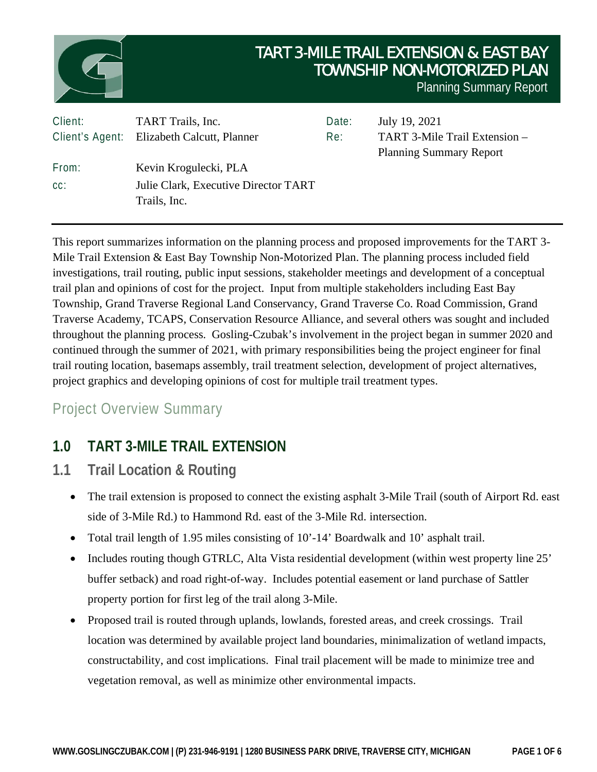

This report summarizes information on the planning process and proposed improvements for the TART 3- Mile Trail Extension & East Bay Township Non-Motorized Plan. The planning process included field investigations, trail routing, public input sessions, stakeholder meetings and development of a conceptual trail plan and opinions of cost for the project. Input from multiple stakeholders including East Bay Township, Grand Traverse Regional Land Conservancy, Grand Traverse Co. Road Commission, Grand Traverse Academy, TCAPS, Conservation Resource Alliance, and several others was sought and included throughout the planning process. Gosling-Czubak's involvement in the project began in summer 2020 and continued through the summer of 2021, with primary responsibilities being the project engineer for final trail routing location, basemaps assembly, trail treatment selection, development of project alternatives, project graphics and developing opinions of cost for multiple trail treatment types.

# Project Overview Summary

# **1.0 TART 3-MILE TRAIL EXTENSION**

- **1.1 Trail Location & Routing**
	- The trail extension is proposed to connect the existing asphalt 3-Mile Trail (south of Airport Rd. east side of 3-Mile Rd.) to Hammond Rd. east of the 3-Mile Rd. intersection.
	- Total trail length of 1.95 miles consisting of 10'-14' Boardwalk and 10' asphalt trail.
	- Includes routing though GTRLC, Alta Vista residential development (within west property line 25' buffer setback) and road right-of-way. Includes potential easement or land purchase of Sattler property portion for first leg of the trail along 3-Mile.
	- Proposed trail is routed through uplands, lowlands, forested areas, and creek crossings. Trail location was determined by available project land boundaries, minimalization of wetland impacts, constructability, and cost implications. Final trail placement will be made to minimize tree and vegetation removal, as well as minimize other environmental impacts.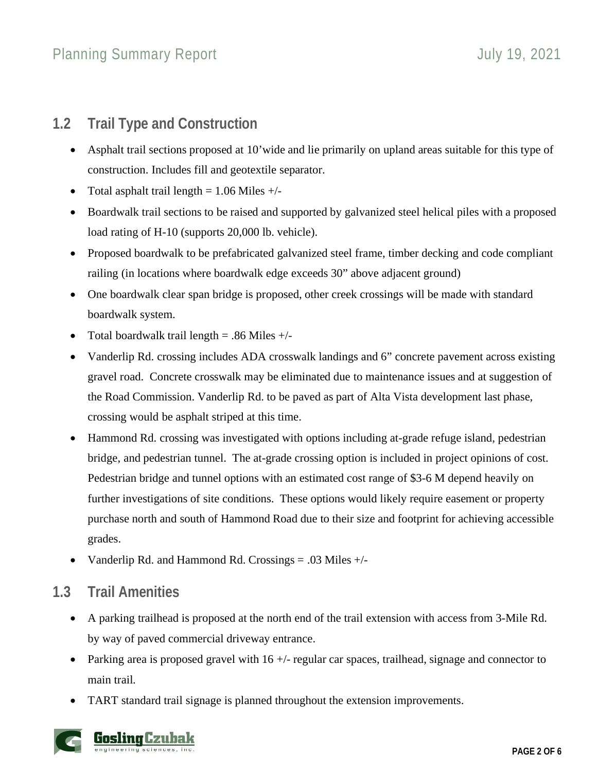# **1.2 Trail Type and Construction**

- Asphalt trail sections proposed at 10'wide and lie primarily on upland areas suitable for this type of construction. Includes fill and geotextile separator.
- Total asphalt trail length  $= 1.06$  Miles  $+/-$
- Boardwalk trail sections to be raised and supported by galvanized steel helical piles with a proposed load rating of H-10 (supports 20,000 lb. vehicle).
- Proposed boardwalk to be prefabricated galvanized steel frame, timber decking and code compliant railing (in locations where boardwalk edge exceeds 30" above adjacent ground)
- One boardwalk clear span bridge is proposed, other creek crossings will be made with standard boardwalk system.
- Total boardwalk trail length  $= .86$  Miles  $+/-$
- Vanderlip Rd. crossing includes ADA crosswalk landings and 6" concrete pavement across existing gravel road. Concrete crosswalk may be eliminated due to maintenance issues and at suggestion of the Road Commission. Vanderlip Rd. to be paved as part of Alta Vista development last phase, crossing would be asphalt striped at this time.
- Hammond Rd. crossing was investigated with options including at-grade refuge island, pedestrian bridge, and pedestrian tunnel. The at-grade crossing option is included in project opinions of cost. Pedestrian bridge and tunnel options with an estimated cost range of \$3-6 M depend heavily on further investigations of site conditions. These options would likely require easement or property purchase north and south of Hammond Road due to their size and footprint for achieving accessible grades.
- Vanderlip Rd. and Hammond Rd. Crossings = .03 Miles +/-

# **1.3 Trail Amenities**

- A parking trailhead is proposed at the north end of the trail extension with access from 3-Mile Rd. by way of paved commercial driveway entrance.
- Parking area is proposed gravel with 16 +/- regular car spaces, trailhead, signage and connector to main trail.
- TART standard trail signage is planned throughout the extension improvements.

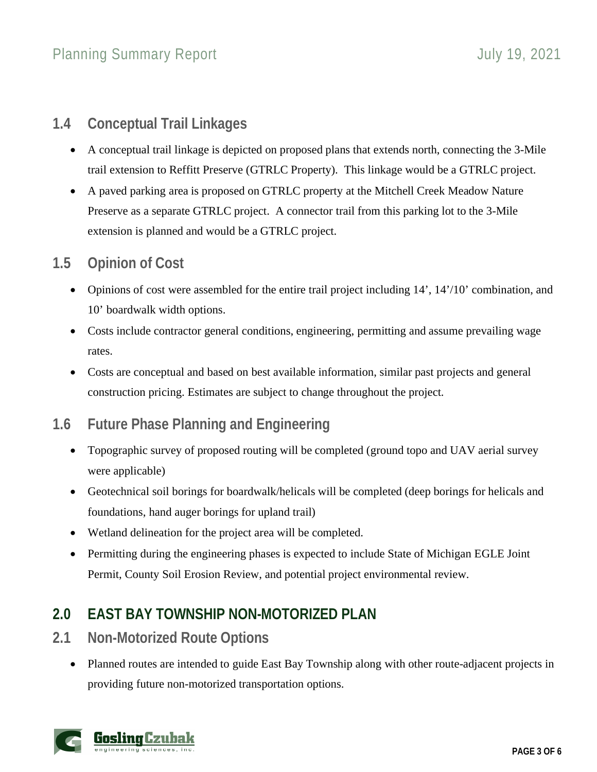# **1.4 Conceptual Trail Linkages**

- A conceptual trail linkage is depicted on proposed plans that extends north, connecting the 3-Mile trail extension to Reffitt Preserve (GTRLC Property). This linkage would be a GTRLC project.
- A paved parking area is proposed on GTRLC property at the Mitchell Creek Meadow Nature Preserve as a separate GTRLC project. A connector trail from this parking lot to the 3-Mile extension is planned and would be a GTRLC project.

# **1.5 Opinion of Cost**

- Opinions of cost were assembled for the entire trail project including 14', 14'/10' combination, and 10' boardwalk width options.
- Costs include contractor general conditions, engineering, permitting and assume prevailing wage rates.
- Costs are conceptual and based on best available information, similar past projects and general construction pricing. Estimates are subject to change throughout the project.

# **1.6 Future Phase Planning and Engineering**

- Topographic survey of proposed routing will be completed (ground topo and UAV aerial survey were applicable)
- Geotechnical soil borings for boardwalk/helicals will be completed (deep borings for helicals and foundations, hand auger borings for upland trail)
- Wetland delineation for the project area will be completed.
- Permitting during the engineering phases is expected to include State of Michigan EGLE Joint Permit, County Soil Erosion Review, and potential project environmental review.

# **2.0 EAST BAY TOWNSHIP NON-MOTORIZED PLAN**

- **2.1 Non-Motorized Route Options**
	- Planned routes are intended to guide East Bay Township along with other route-adjacent projects in providing future non-motorized transportation options.

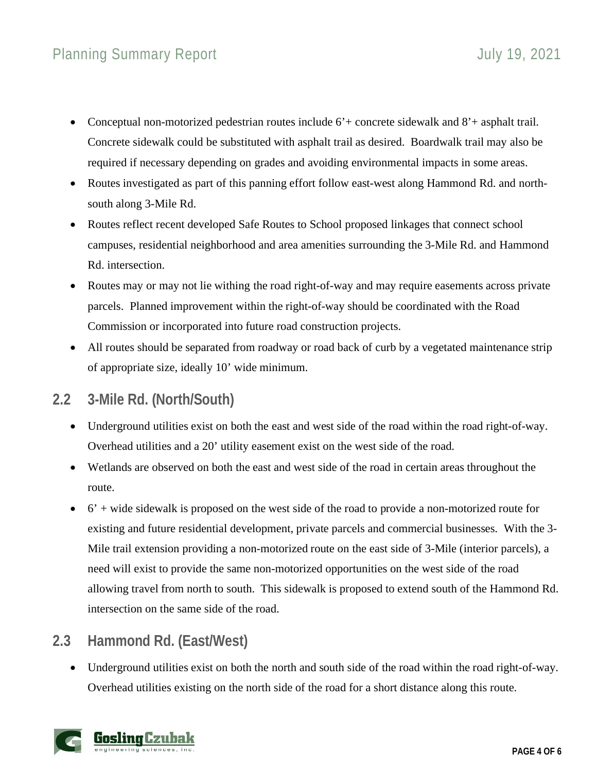# Planning Summary Report **Contact Contact Contact Contact Contact Contact Contact Contact Contact Contact Contact Contact Contact Contact Contact Contact Contact Contact Contact Contact Contact Contact Contact Contact Conta**

- Conceptual non-motorized pedestrian routes include 6'+ concrete sidewalk and 8'+ asphalt trail. Concrete sidewalk could be substituted with asphalt trail as desired. Boardwalk trail may also be required if necessary depending on grades and avoiding environmental impacts in some areas.
- Routes investigated as part of this panning effort follow east-west along Hammond Rd. and northsouth along 3-Mile Rd.
- Routes reflect recent developed Safe Routes to School proposed linkages that connect school campuses, residential neighborhood and area amenities surrounding the 3-Mile Rd. and Hammond Rd. intersection.
- Routes may or may not lie withing the road right-of-way and may require easements across private parcels. Planned improvement within the right-of-way should be coordinated with the Road Commission or incorporated into future road construction projects.
- All routes should be separated from roadway or road back of curb by a vegetated maintenance strip of appropriate size, ideally 10' wide minimum.

#### **2.2 3-Mile Rd. (North/South)**

- Underground utilities exist on both the east and west side of the road within the road right-of-way. Overhead utilities and a 20' utility easement exist on the west side of the road.
- Wetlands are observed on both the east and west side of the road in certain areas throughout the route.
- $\bullet$  6' + wide sidewalk is proposed on the west side of the road to provide a non-motorized route for existing and future residential development, private parcels and commercial businesses. With the 3- Mile trail extension providing a non-motorized route on the east side of 3-Mile (interior parcels), a need will exist to provide the same non-motorized opportunities on the west side of the road allowing travel from north to south. This sidewalk is proposed to extend south of the Hammond Rd. intersection on the same side of the road.

# **2.3 Hammond Rd. (East/West)**

 Underground utilities exist on both the north and south side of the road within the road right-of-way. Overhead utilities existing on the north side of the road for a short distance along this route.

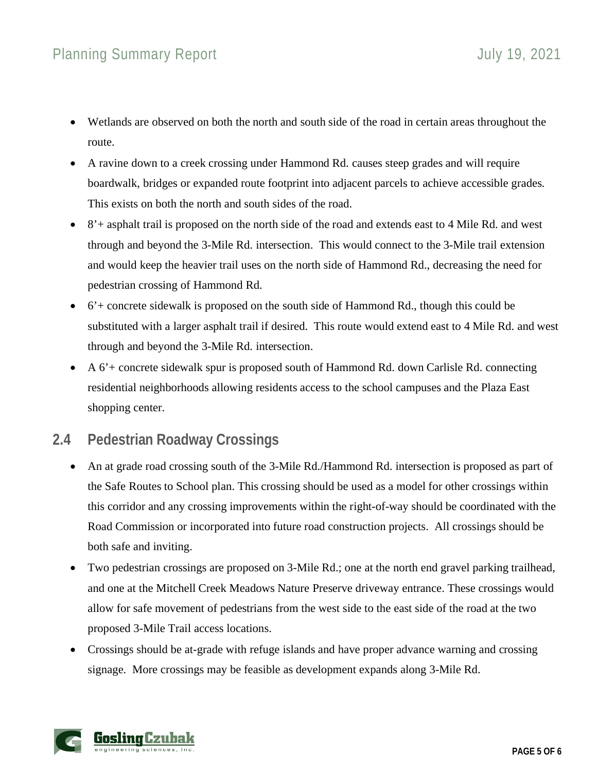- Wetlands are observed on both the north and south side of the road in certain areas throughout the route.
- A ravine down to a creek crossing under Hammond Rd. causes steep grades and will require boardwalk, bridges or expanded route footprint into adjacent parcels to achieve accessible grades. This exists on both the north and south sides of the road.
- 8'+ asphalt trail is proposed on the north side of the road and extends east to 4 Mile Rd. and west through and beyond the 3-Mile Rd. intersection. This would connect to the 3-Mile trail extension and would keep the heavier trail uses on the north side of Hammond Rd., decreasing the need for pedestrian crossing of Hammond Rd.
- 6'+ concrete sidewalk is proposed on the south side of Hammond Rd., though this could be substituted with a larger asphalt trail if desired. This route would extend east to 4 Mile Rd. and west through and beyond the 3-Mile Rd. intersection.
- A 6'+ concrete sidewalk spur is proposed south of Hammond Rd. down Carlisle Rd. connecting residential neighborhoods allowing residents access to the school campuses and the Plaza East shopping center.

# **2.4 Pedestrian Roadway Crossings**

- An at grade road crossing south of the 3-Mile Rd./Hammond Rd. intersection is proposed as part of the Safe Routes to School plan. This crossing should be used as a model for other crossings within this corridor and any crossing improvements within the right-of-way should be coordinated with the Road Commission or incorporated into future road construction projects. All crossings should be both safe and inviting.
- Two pedestrian crossings are proposed on 3-Mile Rd.; one at the north end gravel parking trailhead, and one at the Mitchell Creek Meadows Nature Preserve driveway entrance. These crossings would allow for safe movement of pedestrians from the west side to the east side of the road at the two proposed 3-Mile Trail access locations.
- Crossings should be at-grade with refuge islands and have proper advance warning and crossing signage. More crossings may be feasible as development expands along 3-Mile Rd.